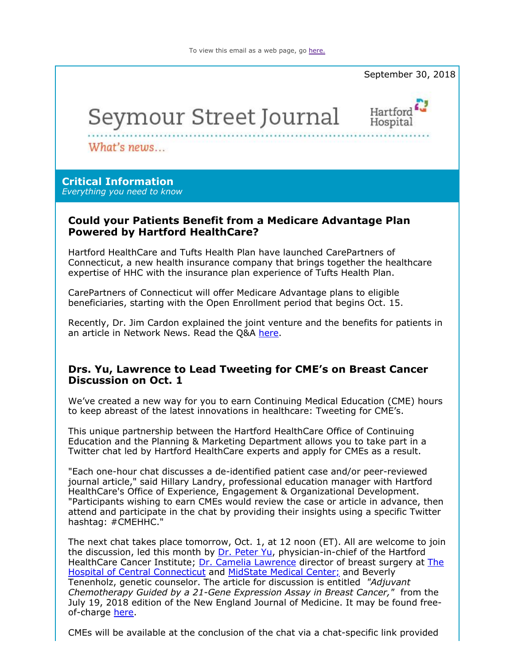To view this email as a web page, go here.



# Seymour Street Journal



What's news...

# **Critical Information**

*Everything you need to know*

# **Could your Patients Benefit from a Medicare Advantage Plan Powered by Hartford HealthCare?**

Hartford HealthCare and Tufts Health Plan have launched CarePartners of Connecticut, a new health insurance company that brings together the healthcare expertise of HHC with the insurance plan experience of Tufts Health Plan.

CarePartners of Connecticut will offer Medicare Advantage plans to eligible beneficiaries, starting with the Open Enrollment period that begins Oct. 15.

Recently, Dr. Jim Cardon explained the joint venture and the benefits for patients in an article in Network News. Read the Q&A here.

# **Drs. Yu, Lawrence to Lead Tweeting for CME's on Breast Cancer Discussion on Oct. 1**

We've created a new way for you to earn Continuing Medical Education (CME) hours to keep abreast of the latest innovations in healthcare: Tweeting for CME's.

This unique partnership between the Hartford HealthCare Office of Continuing Education and the Planning & Marketing Department allows you to take part in a Twitter chat led by Hartford HealthCare experts and apply for CMEs as a result.

"Each one-hour chat discusses a de-identified patient case and/or peer-reviewed journal article," said Hillary Landry, professional education manager with Hartford HealthCare's Office of Experience, Engagement & Organizational Development. "Participants wishing to earn CMEs would review the case or article in advance, then attend and participate in the chat by providing their insights using a specific Twitter hashtag: #CMEHHC."

The next chat takes place tomorrow, Oct. 1, at 12 noon (ET). All are welcome to join the discussion, led this month by Dr. Peter Yu, physician-in-chief of the Hartford HealthCare Cancer Institute; Dr. Camelia Lawrence director of breast surgery at The Hospital of Central Connecticut and MidState Medical Center; and Beverly Tenenholz, genetic counselor. The article for discussion is entitled *"Adjuvant Chemotherapy Guided by a 21-Gene Expression Assay in Breast Cancer,"* from the July 19, 2018 edition of the New England Journal of Medicine. It may be found freeof-charge here.

CMEs will be available at the conclusion of the chat via a chat-specific link provided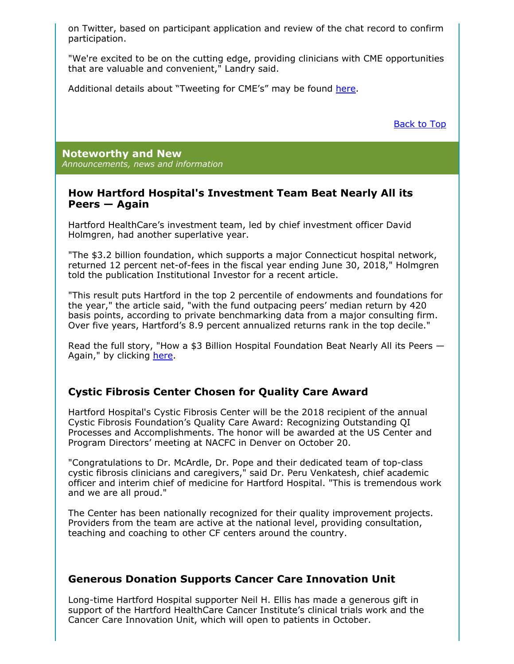on Twitter, based on participant application and review of the chat record to confirm participation.

"We're excited to be on the cutting edge, providing clinicians with CME opportunities that are valuable and convenient," Landry said.

Additional details about "Tweeting for CME's" may be found here.

Back to Top

**Noteworthy and New** *Announcements, news and information*

## **How Hartford Hospital's Investment Team Beat Nearly All its Peers — Again**

Hartford HealthCare's investment team, led by chief investment officer David Holmgren, had another superlative year.

"The \$3.2 billion foundation, which supports a major Connecticut hospital network, returned 12 percent net-of-fees in the fiscal year ending June 30, 2018," Holmgren told the publication Institutional Investor for a recent article.

"This result puts Hartford in the top 2 percentile of endowments and foundations for the year," the article said, "with the fund outpacing peers' median return by 420 basis points, according to private benchmarking data from a major consulting firm. Over five years, Hartford's 8.9 percent annualized returns rank in the top decile."

Read the full story, "How a \$3 Billion Hospital Foundation Beat Nearly All its Peers — Again," by clicking here.

# **Cystic Fibrosis Center Chosen for Quality Care Award**

Hartford Hospital's Cystic Fibrosis Center will be the 2018 recipient of the annual Cystic Fibrosis Foundation's Quality Care Award: Recognizing Outstanding QI Processes and Accomplishments. The honor will be awarded at the US Center and Program Directors' meeting at NACFC in Denver on October 20.

"Congratulations to Dr. McArdle, Dr. Pope and their dedicated team of top-class cystic fibrosis clinicians and caregivers," said Dr. Peru Venkatesh, chief academic officer and interim chief of medicine for Hartford Hospital. "This is tremendous work and we are all proud."

The Center has been nationally recognized for their quality improvement projects. Providers from the team are active at the national level, providing consultation, teaching and coaching to other CF centers around the country.

# **Generous Donation Supports Cancer Care Innovation Unit**

Long-time Hartford Hospital supporter Neil H. Ellis has made a generous gift in support of the Hartford HealthCare Cancer Institute's clinical trials work and the Cancer Care Innovation Unit, which will open to patients in October.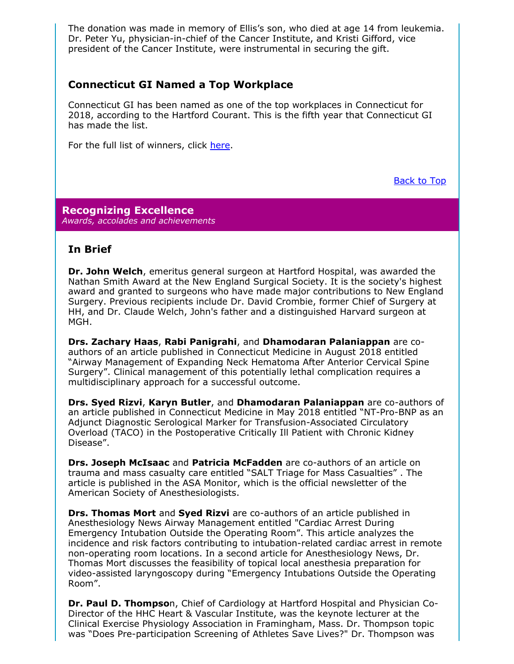The donation was made in memory of Ellis's son, who died at age 14 from leukemia. Dr. Peter Yu, physician-in-chief of the Cancer Institute, and Kristi Gifford, vice president of the Cancer Institute, were instrumental in securing the gift.

# **Connecticut GI Named a Top Workplace**

Connecticut GI has been named as one of the top workplaces in Connecticut for 2018, according to the Hartford Courant. This is the fifth year that Connecticut GI has made the list.

For the full list of winners, click here.

Back to Top

#### **Recognizing Excellence** *Awards, accolades and achievements*

# **In Brief**

**Dr. John Welch**, emeritus general surgeon at Hartford Hospital, was awarded the Nathan Smith Award at the New England Surgical Society. It is the society's highest award and granted to surgeons who have made major contributions to New England Surgery. Previous recipients include Dr. David Crombie, former Chief of Surgery at HH, and Dr. Claude Welch, John's father and a distinguished Harvard surgeon at MGH.

**Drs. Zachary Haas**, **Rabi Panigrahi**, and **Dhamodaran Palaniappan** are coauthors of an article published in Connecticut Medicine in August 2018 entitled "Airway Management of Expanding Neck Hematoma After Anterior Cervical Spine Surgery". Clinical management of this potentially lethal complication requires a multidisciplinary approach for a successful outcome.

**Drs. Syed Rizvi, Karyn Butler, and Dhamodaran Palaniappan** are co-authors of an article published in Connecticut Medicine in May 2018 entitled "NT-Pro-BNP as an Adjunct Diagnostic Serological Marker for Transfusion-Associated Circulatory Overload (TACO) in the Postoperative Critically Ill Patient with Chronic Kidney Disease".

**Drs. Joseph McIsaac** and **Patricia McFadden** are co-authors of an article on trauma and mass casualty care entitled "SALT Triage for Mass Casualties" . The article is published in the ASA Monitor, which is the official newsletter of the American Society of Anesthesiologists.

**Drs. Thomas Mort** and **Syed Rizvi** are co-authors of an article published in Anesthesiology News Airway Management entitled "Cardiac Arrest During Emergency Intubation Outside the Operating Room". This article analyzes the incidence and risk factors contributing to intubation-related cardiac arrest in remote non-operating room locations. In a second article for Anesthesiology News, Dr. Thomas Mort discusses the feasibility of topical local anesthesia preparation for video-assisted laryngoscopy during "Emergency Intubations Outside the Operating Room".

**Dr. Paul D. Thompso**n, Chief of Cardiology at Hartford Hospital and Physician Co-Director of the HHC Heart & Vascular Institute, was the keynote lecturer at the Clinical Exercise Physiology Association in Framingham, Mass. Dr. Thompson topic was "Does Pre-participation Screening of Athletes Save Lives?" Dr. Thompson was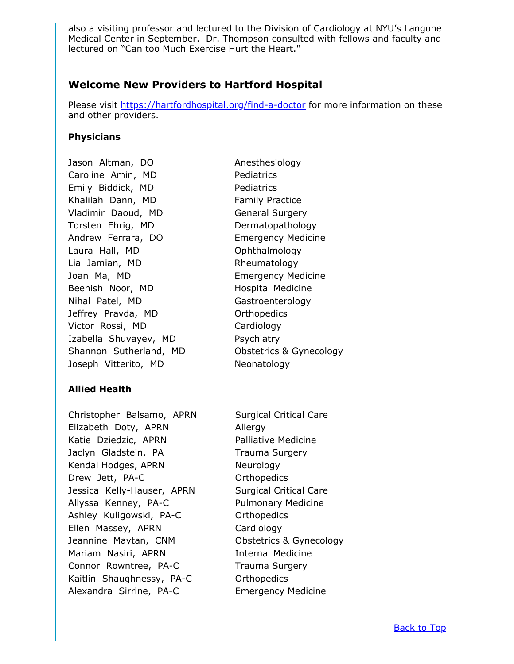also a visiting professor and lectured to the Division of Cardiology at NYU's Langone Medical Center in September. Dr. Thompson consulted with fellows and faculty and lectured on "Can too Much Exercise Hurt the Heart."

# **Welcome New Providers to Hartford Hospital**

Please visit https://hartfordhospital.org/find-a-doctor for more information on these and other providers.

### **Physicians**

Jason Altman, DO Anesthesiology Caroline Amin, MD Pediatrics Emily Biddick, MD Pediatrics Khalilah Dann, MD Family Practice Vladimir Daoud, MD General Surgery Torsten Ehrig, MD Dermatopathology Andrew Ferrara, DO Emergency Medicine Laura Hall, MD Ophthalmology Lia Jamian, MD Rheumatology Joan Ma, MD **Emergency Medicine** Beenish Noor, MD Hospital Medicine Nihal Patel, MD Gastroenterology Jeffrey Pravda, MD Orthopedics Victor Rossi, MD Cardiology Izabella Shuvayev, MD Psychiatry Shannon Sutherland, MD Obstetrics & Gynecology Joseph Vitterito, MD Neonatology

# **Allied Health**

Christopher Balsamo, APRN Surgical Critical Care Elizabeth Doty, APRN Allergy Katie Dziedzic, APRN Palliative Medicine Jaclyn Gladstein, PA Trauma Surgery Kendal Hodges, APRN Neurology Drew Jett, PA-C Orthopedics Jessica Kelly-Hauser, APRN Surgical Critical Care Allyssa Kenney, PA-C Pulmonary Medicine Ashley Kuligowski, PA-C **Casa Care Contracts** Ellen Massey, APRN Cardiology Jeannine Maytan, CNM Obstetrics & Gynecology Mariam Nasiri, APRN Internal Medicine Connor Rowntree, PA-C Trauma Surgery Kaitlin Shaughnessy, PA-C Orthopedics Alexandra Sirrine, PA-C Emergency Medicine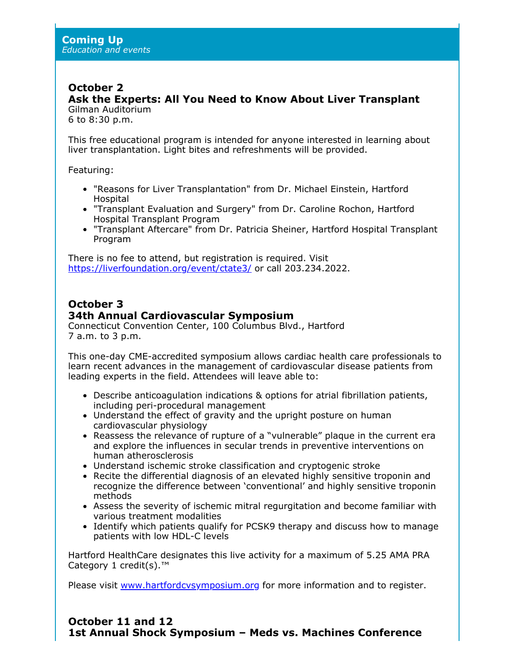# **October 2**

**Ask the Experts: All You Need to Know About Liver Transplant** Gilman Auditorium

6 to 8:30 p.m.

This free educational program is intended for anyone interested in learning about liver transplantation. Light bites and refreshments will be provided.

Featuring:

- "Reasons for Liver Transplantation" from Dr. Michael Einstein, Hartford Hospital
- "Transplant Evaluation and Surgery" from Dr. Caroline Rochon, Hartford Hospital Transplant Program
- "Transplant Aftercare" from Dr. Patricia Sheiner, Hartford Hospital Transplant Program

There is no fee to attend, but registration is required. Visit https://liverfoundation.org/event/ctate3/ or call 203.234.2022.

# **October 3 34th Annual Cardiovascular Symposium**

Connecticut Convention Center, 100 Columbus Blvd., Hartford 7 a.m. to 3 p.m.

This one-day CME-accredited symposium allows cardiac health care professionals to learn recent advances in the management of cardiovascular disease patients from leading experts in the field. Attendees will leave able to:

- Describe anticoagulation indications & options for atrial fibrillation patients, including peri-procedural management
- Understand the effect of gravity and the upright posture on human cardiovascular physiology
- Reassess the relevance of rupture of a "vulnerable" plaque in the current era and explore the influences in secular trends in preventive interventions on human atherosclerosis
- Understand ischemic stroke classification and cryptogenic stroke
- Recite the differential diagnosis of an elevated highly sensitive troponin and recognize the difference between 'conventional' and highly sensitive troponin methods
- Assess the severity of ischemic mitral regurgitation and become familiar with various treatment modalities
- Identify which patients qualify for PCSK9 therapy and discuss how to manage patients with low HDL-C levels

Hartford HealthCare designates this live activity for a maximum of 5.25 AMA PRA Category 1 credit(s).<sup>™</sup>

Please visit www.hartfordcvsymposium.org for more information and to register.

# **October 11 and 12 1st Annual Shock Symposium – Meds vs. Machines Conference**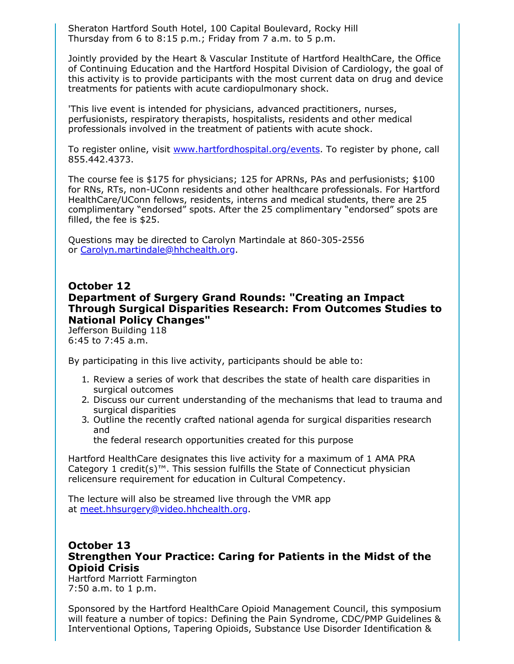Sheraton Hartford South Hotel, 100 Capital Boulevard, Rocky Hill Thursday from 6 to 8:15 p.m.; Friday from 7 a.m. to 5 p.m.

Jointly provided by the Heart & Vascular Institute of Hartford HealthCare, the Office of Continuing Education and the Hartford Hospital Division of Cardiology, the goal of this activity is to provide participants with the most current data on drug and device treatments for patients with acute cardiopulmonary shock.

'This live event is intended for physicians, advanced practitioners, nurses, perfusionists, respiratory therapists, hospitalists, residents and other medical professionals involved in the treatment of patients with acute shock.

To register online, visit www.hartfordhospital.org/events. To register by phone, call 855.442.4373.

The course fee is \$175 for physicians; 125 for APRNs, PAs and perfusionists; \$100 for RNs, RTs, non-UConn residents and other healthcare professionals. For Hartford HealthCare/UConn fellows, residents, interns and medical students, there are 25 complimentary "endorsed" spots. After the 25 complimentary "endorsed" spots are filled, the fee is \$25.

Questions may be directed to Carolyn Martindale at 860-305-2556 or Carolyn.martindale@hhchealth.org.

# **October 12 Department of Surgery Grand Rounds: "Creating an Impact Through Surgical Disparities Research: From Outcomes Studies to National Policy Changes"**

Jefferson Building 118 6:45 to 7:45 a.m.

By participating in this live activity, participants should be able to:

- 1. Review a series of work that describes the state of health care disparities in surgical outcomes
- 2. Discuss our current understanding of the mechanisms that lead to trauma and surgical disparities
- 3. Outline the recently crafted national agenda for surgical disparities research and

the federal research opportunities created for this purpose

Hartford HealthCare designates this live activity for a maximum of 1 AMA PRA Category 1 credit(s)™. This session fulfills the State of Connecticut physician relicensure requirement for education in Cultural Competency.

The lecture will also be streamed live through the VMR app at meet.hhsurgery@video.hhchealth.org.

# **October 13 Strengthen Your Practice: Caring for Patients in the Midst of the Opioid Crisis**

Hartford Marriott Farmington 7:50 a.m. to 1 p.m.

Sponsored by the Hartford HealthCare Opioid Management Council, this symposium will feature a number of topics: Defining the Pain Syndrome, CDC/PMP Guidelines & Interventional Options, Tapering Opioids, Substance Use Disorder Identification &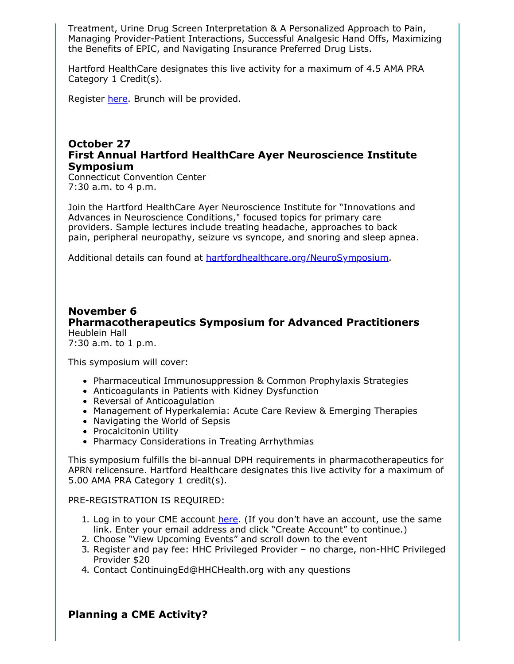Treatment, Urine Drug Screen Interpretation & A Personalized Approach to Pain, Managing Provider-Patient Interactions, Successful Analgesic Hand Offs, Maximizing the Benefits of EPIC, and Navigating Insurance Preferred Drug Lists.

Hartford HealthCare designates this live activity for a maximum of 4.5 AMA PRA Category 1 Credit(s).

Register here. Brunch will be provided.

# **October 27 First Annual Hartford HealthCare Ayer Neuroscience Institute Symposium**

Connecticut Convention Center 7:30 a.m. to 4 p.m.

Join the Hartford HealthCare Ayer Neuroscience Institute for "Innovations and Advances in Neuroscience Conditions," focused topics for primary care providers. Sample lectures include treating headache, approaches to back pain, peripheral neuropathy, seizure vs syncope, and snoring and sleep apnea.

Additional details can found at hartfordhealthcare.org/NeuroSymposium.

# **November 6 Pharmacotherapeutics Symposium for Advanced Practitioners** Heublein Hall

7:30 a.m. to 1 p.m.

This symposium will cover:

- Pharmaceutical Immunosuppression & Common Prophylaxis Strategies
- Anticoagulants in Patients with Kidney Dysfunction
- Reversal of Anticoagulation
- Management of Hyperkalemia: Acute Care Review & Emerging Therapies
- Navigating the World of Sepsis
- Procalcitonin Utility
- Pharmacy Considerations in Treating Arrhythmias

This symposium fulfills the bi-annual DPH requirements in pharmacotherapeutics for APRN relicensure. Hartford Healthcare designates this live activity for a maximum of 5.00 AMA PRA Category 1 credit(s).

PRE-REGISTRATION IS REQUIRED:

- 1. Log in to your CME account here. (If you don't have an account, use the same link. Enter your email address and click "Create Account" to continue.)
- 2. Choose "View Upcoming Events" and scroll down to the event
- 3. Register and pay fee: HHC Privileged Provider no charge, non-HHC Privileged Provider \$20
- 4. Contact ContinuingEd@HHCHealth.org with any questions

**Planning a CME Activity?**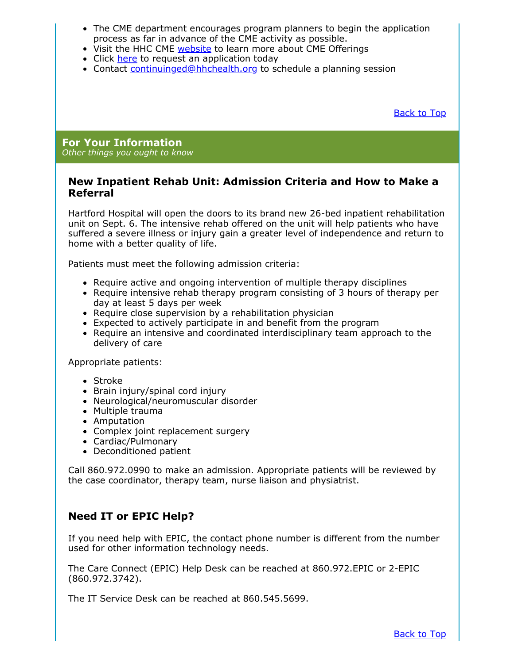- The CME department encourages program planners to begin the application process as far in advance of the CME activity as possible.
- Visit the HHC CME website to learn more about CME Offerings
- Click here to request an application today
- Contact continuinged@hhchealth.org to schedule a planning session

Back to Top

#### **For Your Information** *Other things you ought to know*

### **New Inpatient Rehab Unit: Admission Criteria and How to Make a Referral**

Hartford Hospital will open the doors to its brand new 26-bed inpatient rehabilitation unit on Sept. 6. The intensive rehab offered on the unit will help patients who have suffered a severe illness or injury gain a greater level of independence and return to home with a better quality of life.

Patients must meet the following admission criteria:

- Require active and ongoing intervention of multiple therapy disciplines
- Require intensive rehab therapy program consisting of 3 hours of therapy per day at least 5 days per week
- Require close supervision by a rehabilitation physician
- Expected to actively participate in and benefit from the program
- Require an intensive and coordinated interdisciplinary team approach to the delivery of care

Appropriate patients:

- Stroke
- Brain injury/spinal cord injury
- Neurological/neuromuscular disorder
- Multiple trauma
- Amputation
- Complex joint replacement surgery
- Cardiac/Pulmonary
- Deconditioned patient

Call 860.972.0990 to make an admission. Appropriate patients will be reviewed by the case coordinator, therapy team, nurse liaison and physiatrist.

# **Need IT or EPIC Help?**

If you need help with EPIC, the contact phone number is different from the number used for other information technology needs.

The Care Connect (EPIC) Help Desk can be reached at 860.972.EPIC or 2-EPIC (860.972.3742).

The IT Service Desk can be reached at 860.545.5699.